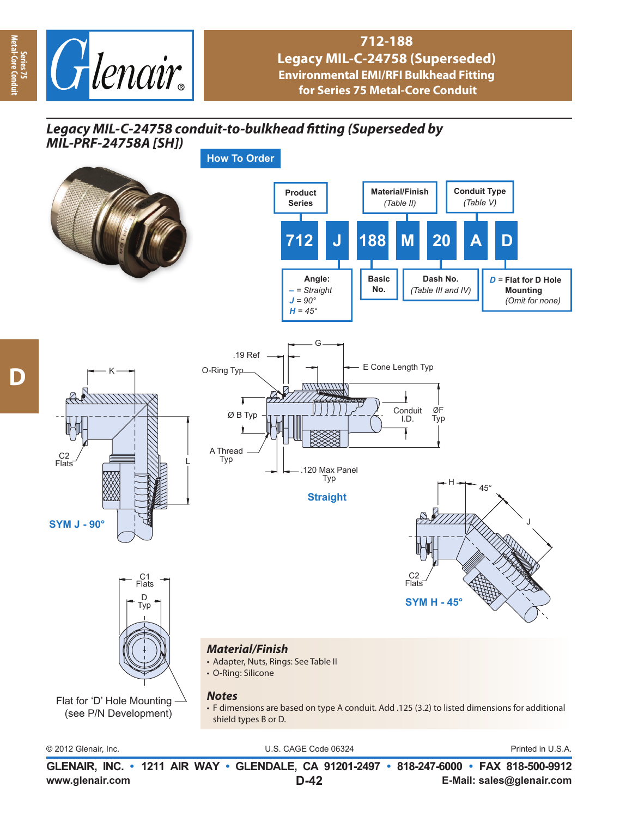

## **712-188 Legacy MIL-C-24758 (Superseded) Environmental EMI/RFI Bulkhead Fitting for Series 75 Metal-Core Conduit**

## Legacy MIL-C-24758 conduit-to-bulkhead fitting (Superseded by



© 2012 Glenair, Inc. U.S. CAGE Code 06324 Printed in U.S.A.

**www.glenair.com E-Mail: sales@glenair.com GLENAIR, INC. • 1211 AIR WAY • GLENDALE, CA 91201-2497 • 818-247-6000 • FAX 818-500-9912 D-42**

**Series 75 Metal-Core Conduit**